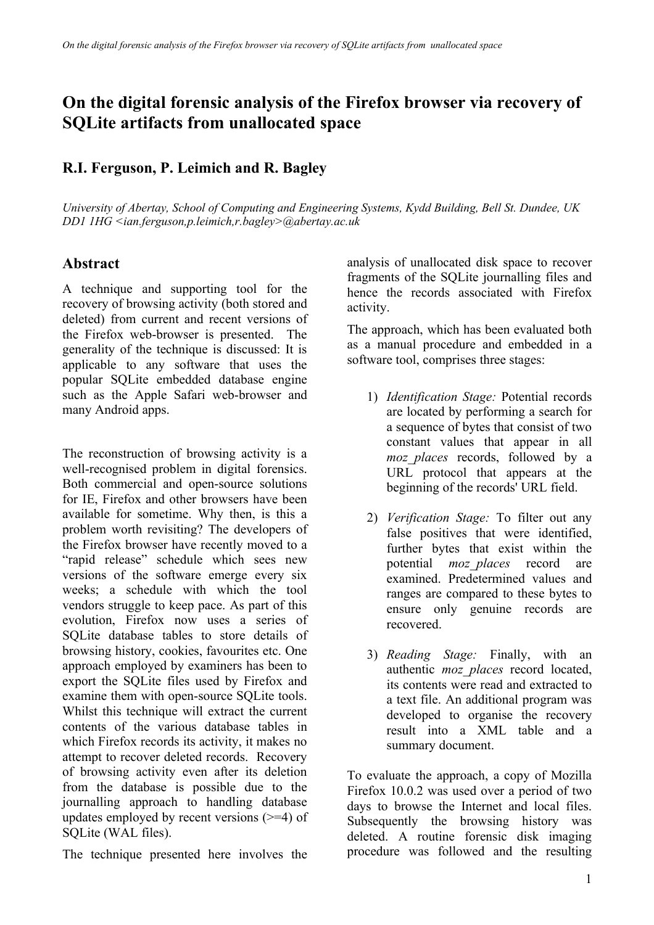## **On the digital forensic analysis of the Firefox browser via recovery of SQLite artifacts from unallocated space**

## **R.I. Ferguson, P. Leimich and R. Bagley**

*University of Abertay, School of Computing and Engineering Systems, Kydd Building, Bell St. Dundee, UK DD1 1HG <ian.ferguson,p.leimich,r.bagley>@abertay.ac.uk*

## **Abstract**

A technique and supporting tool for the recovery of browsing activity (both stored and deleted) from current and recent versions of the Firefox web-browser is presented. The generality of the technique is discussed: It is applicable to any software that uses the popular SQLite embedded database engine such as the Apple Safari web-browser and many Android apps.

The reconstruction of browsing activity is a well-recognised problem in digital forensics. Both commercial and open-source solutions for IE, Firefox and other browsers have been available for sometime. Why then, is this a problem worth revisiting? The developers of the Firefox browser have recently moved to a "rapid release" schedule which sees new versions of the software emerge every six weeks; a schedule with which the tool vendors struggle to keep pace. As part of this evolution, Firefox now uses a series of SQLite database tables to store details of browsing history, cookies, favourites etc. One approach employed by examiners has been to export the SQLite files used by Firefox and examine them with open-source SQLite tools. Whilst this technique will extract the current contents of the various database tables in which Firefox records its activity, it makes no attempt to recover deleted records. Recovery of browsing activity even after its deletion from the database is possible due to the journalling approach to handling database updates employed by recent versions  $(>=4)$  of SQLite (WAL files).

The technique presented here involves the

analysis of unallocated disk space to recover fragments of the SQLite journalling files and hence the records associated with Firefox activity.

The approach, which has been evaluated both as a manual procedure and embedded in a software tool, comprises three stages:

- 1) *Identification Stage:* Potential records are located by performing a search for a sequence of bytes that consist of two constant values that appear in all *moz\_places* records, followed by a URL protocol that appears at the beginning of the records' URL field.
- 2) *Verification Stage:* To filter out any false positives that were identified, further bytes that exist within the potential *moz\_places* record are examined. Predetermined values and ranges are compared to these bytes to ensure only genuine records are recovered.
- 3) *Reading Stage:* Finally, with an authentic *moz\_places* record located, its contents were read and extracted to a text file. An additional program was developed to organise the recovery result into a XML table and a summary document.

To evaluate the approach, a copy of Mozilla Firefox 10.0.2 was used over a period of two days to browse the Internet and local files. Subsequently the browsing history was deleted. A routine forensic disk imaging procedure was followed and the resulting